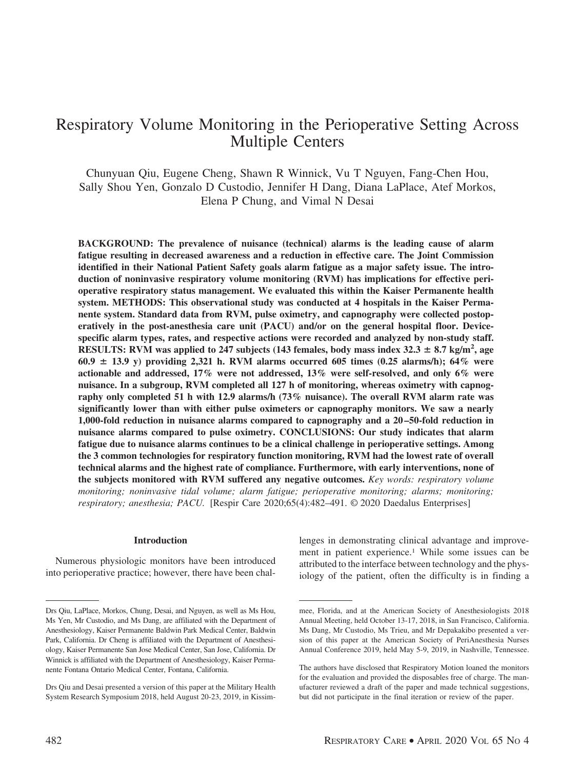# Respiratory Volume Monitoring in the Perioperative Setting Across Multiple Centers

Chunyuan Qiu, Eugene Cheng, Shawn R Winnick, Vu T Nguyen, Fang-Chen Hou, Sally Shou Yen, Gonzalo D Custodio, Jennifer H Dang, Diana LaPlace, Atef Morkos, Elena P Chung, and Vimal N Desai

**BACKGROUND: The prevalence of nuisance (technical) alarms is the leading cause of alarm fatigue resulting in decreased awareness and a reduction in effective care. The Joint Commission identified in their National Patient Safety goals alarm fatigue as a major safety issue. The introduction of noninvasive respiratory volume monitoring (RVM) has implications for effective perioperative respiratory status management. We evaluated this within the Kaiser Permanente health system. METHODS: This observational study was conducted at 4 hospitals in the Kaiser Permanente system. Standard data from RVM, pulse oximetry, and capnography were collected postoperatively in the post-anesthesia care unit (PACU) and/or on the general hospital floor. Devicespecific alarm types, rates, and respective actions were recorded and analyzed by non-study staff. RESULTS:** RVM was applied to 247 subjects (143 females, body mass index  $32.3 \pm 8.7$  kg/m<sup>2</sup>, age **60.9** - **13.9 y) providing 2,321 h. RVM alarms occurred 605 times (0.25 alarms/h); 64% were actionable and addressed, 17% were not addressed, 13% were self-resolved, and only 6% were nuisance. In a subgroup, RVM completed all 127 h of monitoring, whereas oximetry with capnography only completed 51 h with 12.9 alarms/h (73% nuisance). The overall RVM alarm rate was significantly lower than with either pulse oximeters or capnography monitors. We saw a nearly 1,000-fold reduction in nuisance alarms compared to capnography and a 20 –50-fold reduction in nuisance alarms compared to pulse oximetry. CONCLUSIONS: Our study indicates that alarm fatigue due to nuisance alarms continues to be a clinical challenge in perioperative settings. Among the 3 common technologies for respiratory function monitoring, RVM had the lowest rate of overall technical alarms and the highest rate of compliance. Furthermore, with early interventions, none of the subjects monitored with RVM suffered any negative outcomes.** *Key words: respiratory volume monitoring; noninvasive tidal volume; alarm fatigue; perioperative monitoring; alarms; monitoring; respiratory; anesthesia; PACU.* [Respir Care 2020;65(4):482-491. © 2020 Daedalus Enterprises]

#### **Introduction**

Numerous physiologic monitors have been introduced into perioperative practice; however, there have been challenges in demonstrating clinical advantage and improvement in patient experience.1 While some issues can be attributed to the interface between technology and the physiology of the patient, often the difficulty is in finding a

Drs Qiu, LaPlace, Morkos, Chung, Desai, and Nguyen, as well as Ms Hou, Ms Yen, Mr Custodio, and Ms Dang, are affiliated with the Department of Anesthesiology, Kaiser Permanente Baldwin Park Medical Center, Baldwin Park, California. Dr Cheng is affiliated with the Department of Anesthesiology, Kaiser Permanente San Jose Medical Center, San Jose, California. Dr Winnick is affiliated with the Department of Anesthesiology, Kaiser Permanente Fontana Ontario Medical Center, Fontana, California.

Drs Qiu and Desai presented a version of this paper at the Military Health System Research Symposium 2018, held August 20-23, 2019, in Kissim-

mee, Florida, and at the American Society of Anesthesiologists 2018 Annual Meeting, held October 13-17, 2018, in San Francisco, California. Ms Dang, Mr Custodio, Ms Trieu, and Mr Depakakibo presented a version of this paper at the American Society of PeriAnesthesia Nurses Annual Conference 2019, held May 5-9, 2019, in Nashville, Tennessee.

The authors have disclosed that Respiratory Motion loaned the monitors for the evaluation and provided the disposables free of charge. The manufacturer reviewed a draft of the paper and made technical suggestions, but did not participate in the final iteration or review of the paper.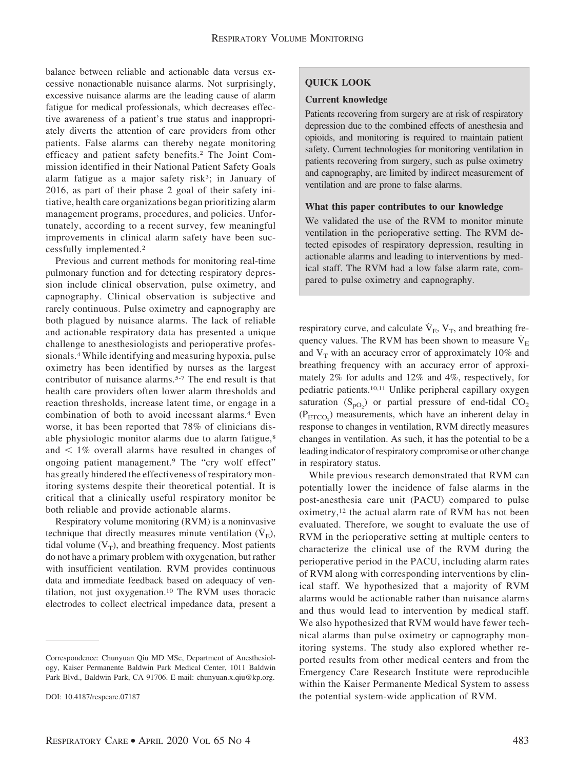balance between reliable and actionable data versus excessive nonactionable nuisance alarms. Not surprisingly, excessive nuisance alarms are the leading cause of alarm fatigue for medical professionals, which decreases effective awareness of a patient's true status and inappropriately diverts the attention of care providers from other patients. False alarms can thereby negate monitoring efficacy and patient safety benefits.2 The Joint Commission identified in their National Patient Safety Goals alarm fatigue as a major safety risk<sup>3</sup>; in January of 2016, as part of their phase 2 goal of their safety initiative, health care organizations began prioritizing alarm management programs, procedures, and policies. Unfortunately, according to a recent survey, few meaningful improvements in clinical alarm safety have been successfully implemented.2

Previous and current methods for monitoring real-time pulmonary function and for detecting respiratory depression include clinical observation, pulse oximetry, and capnography. Clinical observation is subjective and rarely continuous. Pulse oximetry and capnography are both plagued by nuisance alarms. The lack of reliable and actionable respiratory data has presented a unique challenge to anesthesiologists and perioperative professionals.4 While identifying and measuring hypoxia, pulse oximetry has been identified by nurses as the largest contributor of nuisance alarms.<sup>5-7</sup> The end result is that health care providers often lower alarm thresholds and reaction thresholds, increase latent time, or engage in a combination of both to avoid incessant alarms.<sup>4</sup> Even worse, it has been reported that 78% of clinicians disable physiologic monitor alarms due to alarm fatigue,<sup>8</sup> and  $\leq 1\%$  overall alarms have resulted in changes of ongoing patient management.9 The "cry wolf effect" has greatly hindered the effectiveness of respiratory monitoring systems despite their theoretical potential. It is critical that a clinically useful respiratory monitor be both reliable and provide actionable alarms.

Respiratory volume monitoring (RVM) is a noninvasive technique that directly measures minute ventilation  $(\dot{V}_F)$ , tidal volume  $(V_T)$ , and breathing frequency. Most patients do not have a primary problem with oxygenation, but rather with insufficient ventilation. RVM provides continuous data and immediate feedback based on adequacy of ventilation, not just oxygenation.10 The RVM uses thoracic electrodes to collect electrical impedance data, present a

# **QUICK LOOK**

#### **Current knowledge**

Patients recovering from surgery are at risk of respiratory depression due to the combined effects of anesthesia and opioids, and monitoring is required to maintain patient safety. Current technologies for monitoring ventilation in patients recovering from surgery, such as pulse oximetry and capnography, are limited by indirect measurement of ventilation and are prone to false alarms.

## **What this paper contributes to our knowledge**

We validated the use of the RVM to monitor minute ventilation in the perioperative setting. The RVM detected episodes of respiratory depression, resulting in actionable alarms and leading to interventions by medical staff. The RVM had a low false alarm rate, compared to pulse oximetry and capnography.

respiratory curve, and calculate  $\dot{V}_E$ ,  $V_T$ , and breathing frequency values. The RVM has been shown to measure  $\dot{V}_F$ and  $V_T$  with an accuracy error of approximately 10% and breathing frequency with an accuracy error of approximately 2% for adults and 12% and 4%, respectively, for pediatric patients.10,11 Unlike peripheral capillary oxygen saturation  $(S_{pQ_2})$  or partial pressure of end-tidal  $CO_2$  $(P_{ETCO_2})$  measurements, which have an inherent delay in response to changes in ventilation, RVM directly measures changes in ventilation. As such, it has the potential to be a leading indicator of respiratory compromise or other change in respiratory status.

While previous research demonstrated that RVM can potentially lower the incidence of false alarms in the post-anesthesia care unit (PACU) compared to pulse oximetry,12 the actual alarm rate of RVM has not been evaluated. Therefore, we sought to evaluate the use of RVM in the perioperative setting at multiple centers to characterize the clinical use of the RVM during the perioperative period in the PACU, including alarm rates of RVM along with corresponding interventions by clinical staff. We hypothesized that a majority of RVM alarms would be actionable rather than nuisance alarms and thus would lead to intervention by medical staff. We also hypothesized that RVM would have fewer technical alarms than pulse oximetry or capnography monitoring systems. The study also explored whether reported results from other medical centers and from the Emergency Care Research Institute were reproducible within the Kaiser Permanente Medical System to assess the potential system-wide application of RVM.

Correspondence: Chunyuan Qiu MD MSc, Department of Anesthesiology, Kaiser Permanente Baldwin Park Medical Center, 1011 Baldwin Park Blvd., Baldwin Park, CA 91706. E-mail: chunyuan.x.qiu@kp.org.

DOI: 10.4187/respcare.07187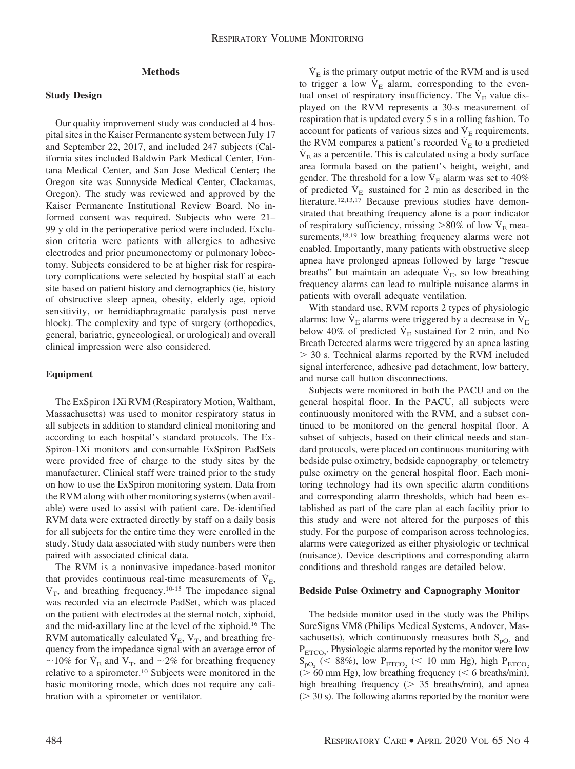# **Methods**

## **Study Design**

Our quality improvement study was conducted at 4 hospital sites in the Kaiser Permanente system between July 17 and September 22, 2017, and included 247 subjects (California sites included Baldwin Park Medical Center, Fontana Medical Center, and San Jose Medical Center; the Oregon site was Sunnyside Medical Center, Clackamas, Oregon). The study was reviewed and approved by the Kaiser Permanente Institutional Review Board. No informed consent was required. Subjects who were 21– 99 y old in the perioperative period were included. Exclusion criteria were patients with allergies to adhesive electrodes and prior pneumonectomy or pulmonary lobectomy. Subjects considered to be at higher risk for respiratory complications were selected by hospital staff at each site based on patient history and demographics (ie, history of obstructive sleep apnea, obesity, elderly age, opioid sensitivity, or hemidiaphragmatic paralysis post nerve block). The complexity and type of surgery (orthopedics, general, bariatric, gynecological, or urological) and overall clinical impression were also considered.

# **Equipment**

The ExSpiron 1Xi RVM (Respiratory Motion, Waltham, Massachusetts) was used to monitor respiratory status in all subjects in addition to standard clinical monitoring and according to each hospital's standard protocols. The Ex-Spiron-1Xi monitors and consumable ExSpiron PadSets were provided free of charge to the study sites by the manufacturer. Clinical staff were trained prior to the study on how to use the ExSpiron monitoring system. Data from the RVM along with other monitoring systems (when available) were used to assist with patient care. De-identified RVM data were extracted directly by staff on a daily basis for all subjects for the entire time they were enrolled in the study. Study data associated with study numbers were then paired with associated clinical data.

The RVM is a noninvasive impedance-based monitor that provides continuous real-time measurements of  $V_{E}$ ,  $V_T$ , and breathing frequency.<sup>10-15</sup> The impedance signal was recorded via an electrode PadSet, which was placed on the patient with electrodes at the sternal notch, xiphoid, and the mid-axillary line at the level of the xiphoid.16 The RVM automatically calculated  $\dot{V}_E$ ,  $V_T$ , and breathing frequency from the impedance signal with an average error of ~10% for  $\dot{V}_E$  and  $V_T$ , and ~2% for breathing frequency relative to a spirometer.10 Subjects were monitored in the basic monitoring mode, which does not require any calibration with a spirometer or ventilator.

 $V<sub>E</sub>$  is the primary output metric of the RVM and is used to trigger a low  $\dot{V}_E$  alarm, corresponding to the eventual onset of respiratory insufficiency. The  $\dot{V}_E$  value displayed on the RVM represents a 30-s measurement of respiration that is updated every 5 s in a rolling fashion. To account for patients of various sizes and  $V<sub>E</sub>$  requirements, the RVM compares a patient's recorded  $\dot{V}_E$  to a predicted  $\dot{V}_E$  as a percentile. This is calculated using a body surface area formula based on the patient's height, weight, and gender. The threshold for a low  $\dot{V}_E$  alarm was set to 40% of predicted  $\dot{V}_E$  sustained for 2 min as described in the literature.12,13,17 Because previous studies have demonstrated that breathing frequency alone is a poor indicator of respiratory sufficiency, missing  $>80\%$  of low  $V<sub>E</sub>$  measurements,<sup>18,19</sup> low breathing frequency alarms were not enabled. Importantly, many patients with obstructive sleep apnea have prolonged apneas followed by large "rescue breaths" but maintain an adequate  $\dot{V}_E$ , so low breathing frequency alarms can lead to multiple nuisance alarms in patients with overall adequate ventilation.

With standard use, RVM reports 2 types of physiologic alarms: low  $\dot{V}_E$  alarms were triggered by a decrease in  $V_E$ below 40% of predicted  $\dot{V}_E$  sustained for 2 min, and No Breath Detected alarms were triggered by an apnea lasting 30 s. Technical alarms reported by the RVM included signal interference, adhesive pad detachment, low battery, and nurse call button disconnections.

Subjects were monitored in both the PACU and on the general hospital floor. In the PACU, all subjects were continuously monitored with the RVM, and a subset continued to be monitored on the general hospital floor. A subset of subjects, based on their clinical needs and standard protocols, were placed on continuous monitoring with bedside pulse oximetry, bedside capnography or telemetry pulse oximetry on the general hospital floor. Each monitoring technology had its own specific alarm conditions and corresponding alarm thresholds, which had been established as part of the care plan at each facility prior to this study and were not altered for the purposes of this study. For the purpose of comparison across technologies, alarms were categorized as either physiologic or technical (nuisance). Device descriptions and corresponding alarm conditions and threshold ranges are detailed below.

## **Bedside Pulse Oximetry and Capnography Monitor**

The bedside monitor used in the study was the Philips SureSigns VM8 (Philips Medical Systems, Andover, Massachusetts), which continuously measures both  $S_{pQ_2}$  and  $P_{ETCO_2}$ . Physiologic alarms reported by the monitor were low  $S_{po_2}$  (< 88%), low  $P_{ETCO_2}$  (< 10 mm Hg), high  $P_{ETCO_2}$  $($  > 60 mm Hg), low breathing frequency  $(< 6$  breaths/min), high breathing frequency  $( > 35$  breaths/min), and apnea  $($  > 30 s). The following alarms reported by the monitor were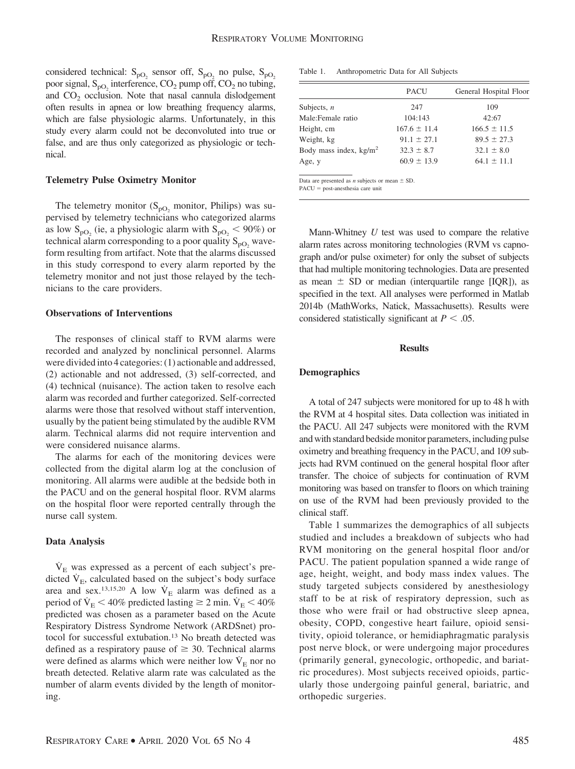considered technical:  $S_{pO_2}$  sensor off,  $S_{pO_2}$  no pulse,  $S_{pO_2}$ poor signal,  $S_{pQ_2}$  interference,  $CO_2$  pump off,  $CO_2$  no tubing, and  $CO<sub>2</sub>$  occlusion. Note that nasal cannula dislodgement often results in apnea or low breathing frequency alarms, which are false physiologic alarms. Unfortunately, in this study every alarm could not be deconvoluted into true or false, and are thus only categorized as physiologic or technical.

#### **Telemetry Pulse Oximetry Monitor**

The telemetry monitor  $(S_{pO_2})$  monitor, Philips) was supervised by telemetry technicians who categorized alarms as low  $S_{pO_2}$  (ie, a physiologic alarm with  $S_{pO_2}$  < 90%) or technical alarm corresponding to a poor quality  $S_{pQ}$  waveform resulting from artifact. Note that the alarms discussed in this study correspond to every alarm reported by the telemetry monitor and not just those relayed by the technicians to the care providers.

## **Observations of Interventions**

The responses of clinical staff to RVM alarms were recorded and analyzed by nonclinical personnel. Alarms were divided into 4 categories: (1) actionable and addressed, (2) actionable and not addressed, (3) self-corrected, and (4) technical (nuisance). The action taken to resolve each alarm was recorded and further categorized. Self-corrected alarms were those that resolved without staff intervention, usually by the patient being stimulated by the audible RVM alarm. Technical alarms did not require intervention and were considered nuisance alarms.

The alarms for each of the monitoring devices were collected from the digital alarm log at the conclusion of monitoring. All alarms were audible at the bedside both in the PACU and on the general hospital floor. RVM alarms on the hospital floor were reported centrally through the nurse call system.

# **Data Analysis**

 $V<sub>E</sub>$  was expressed as a percent of each subject's predicted  $\dot{V}_E$ , calculated based on the subject's body surface area and sex.<sup>13,15,20</sup> A low  $\dot{V}_E$  alarm was defined as a period of  $\dot{V}_{E}$  < 40% predicted lasting  $\geq 2$  min.  $\dot{V}_{E}$  < 40% predicted was chosen as a parameter based on the Acute Respiratory Distress Syndrome Network (ARDSnet) protocol for successful extubation.13 No breath detected was defined as a respiratory pause of  $\geq$  30. Technical alarms were defined as alarms which were neither low  $\dot{V}_E$  nor no breath detected. Relative alarm rate was calculated as the number of alarm events divided by the length of monitoring.

Table 1. Anthropometric Data for All Subjects

|                                  | <b>PACU</b>      | General Hospital Floor |
|----------------------------------|------------------|------------------------|
| Subjects, $n$                    | 247              | 109                    |
| Male: Female ratio               | 104:143          | 42:67                  |
| Height, cm                       | $167.6 \pm 11.4$ | $166.5 \pm 11.5$       |
| Weight, kg                       | $91.1 \pm 27.1$  | $89.5 \pm 27.3$        |
| Body mass index, $\text{kg/m}^2$ | $32.3 \pm 8.7$   | $32.1 \pm 8.0$         |
| Age, y                           | $60.9 \pm 13.9$  | $64.1 \pm 11.1$        |
|                                  |                  |                        |

Data are presented as  $n$  subjects or mean  $\pm$  SD.  $PACU = post-anesthesia care unit$ 

Mann-Whitney *U* test was used to compare the relative alarm rates across monitoring technologies (RVM vs capnograph and/or pulse oximeter) for only the subset of subjects that had multiple monitoring technologies. Data are presented as mean  $\pm$  SD or median (interquartile range [IQR]), as specified in the text. All analyses were performed in Matlab 2014b (MathWorks, Natick, Massachusetts). Results were considered statistically significant at  $P < .05$ .

#### **Results**

# **Demographics**

A total of 247 subjects were monitored for up to 48 h with the RVM at 4 hospital sites. Data collection was initiated in the PACU. All 247 subjects were monitored with the RVM and with standard bedside monitor parameters, including pulse oximetry and breathing frequency in the PACU, and 109 subjects had RVM continued on the general hospital floor after transfer. The choice of subjects for continuation of RVM monitoring was based on transfer to floors on which training on use of the RVM had been previously provided to the clinical staff.

Table 1 summarizes the demographics of all subjects studied and includes a breakdown of subjects who had RVM monitoring on the general hospital floor and/or PACU. The patient population spanned a wide range of age, height, weight, and body mass index values. The study targeted subjects considered by anesthesiology staff to be at risk of respiratory depression, such as those who were frail or had obstructive sleep apnea, obesity, COPD, congestive heart failure, opioid sensitivity, opioid tolerance, or hemidiaphragmatic paralysis post nerve block, or were undergoing major procedures (primarily general, gynecologic, orthopedic, and bariatric procedures). Most subjects received opioids, particularly those undergoing painful general, bariatric, and orthopedic surgeries.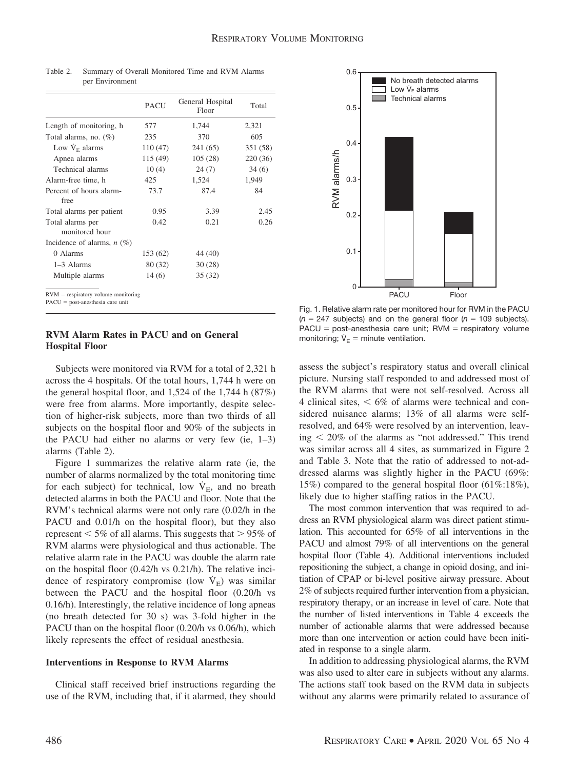|                                                                             | <b>PACU</b> | General Hospital<br>Floor | Total    |
|-----------------------------------------------------------------------------|-------------|---------------------------|----------|
| Length of monitoring, h                                                     | 577         | 1,744                     | 2,321    |
| Total alarms, no. $(\%)$                                                    | 235         | 370                       | 605      |
| Low $V_F$ alarms                                                            | 110(47)     | 241 (65)                  | 351 (58) |
| Apnea alarms                                                                | 115 (49)    | 105(28)                   | 220 (36) |
| Technical alarms                                                            | 10(4)       | 24(7)                     | 34(6)    |
| Alarm-free time, h                                                          | 425         | 1,524                     | 1,949    |
| Percent of hours alarm-<br>free                                             | 73.7        | 87.4                      | 84       |
| Total alarms per patient                                                    | 0.95        | 3.39                      | 2.45     |
| Total alarms per<br>monitored hour                                          | 0.42        | 0.21                      | 0.26     |
| Incidence of alarms, $n$ (%)                                                |             |                           |          |
| 0 Alarms                                                                    | 153 (62)    | 44 (40)                   |          |
| 1-3 Alarms                                                                  | 80 (32)     | 30(28)                    |          |
| Multiple alarms                                                             | 14(6)       | 35(32)                    |          |
| $RVM$ = respiratory volume monitoring<br>$PACU = post-anesthesia care unit$ |             |                           |          |

Table 2. Summary of Overall Monitored Time and RVM Alarms per Environment

**RVM Alarm Rates in PACU and on General Hospital Floor**

Subjects were monitored via RVM for a total of 2,321 h across the 4 hospitals. Of the total hours, 1,744 h were on the general hospital floor, and 1,524 of the 1,744 h (87%) were free from alarms. More importantly, despite selection of higher-risk subjects, more than two thirds of all subjects on the hospital floor and 90% of the subjects in the PACU had either no alarms or very few (ie, 1–3) alarms (Table 2).

Figure 1 summarizes the relative alarm rate (ie, the number of alarms normalized by the total monitoring time for each subject) for technical, low  $\dot{V}_{E}$ , and no breath detected alarms in both the PACU and floor. Note that the RVM's technical alarms were not only rare (0.02/h in the PACU and 0.01/h on the hospital floor), but they also represent  $<$  5% of all alarms. This suggests that  $>$  95% of RVM alarms were physiological and thus actionable. The relative alarm rate in the PACU was double the alarm rate on the hospital floor (0.42/h vs 0.21/h). The relative incidence of respiratory compromise (low  $\dot{V}_F$ ) was similar between the PACU and the hospital floor (0.20/h vs 0.16/h). Interestingly, the relative incidence of long apneas (no breath detected for 30 s) was 3-fold higher in the PACU than on the hospital floor (0.20/h vs 0.06/h), which likely represents the effect of residual anesthesia.

# **Interventions in Response to RVM Alarms**

Clinical staff received brief instructions regarding the use of the RVM, including that, if it alarmed, they should



Fig. 1. Relative alarm rate per monitored hour for RVM in the PACU  $(n = 247$  subjects) and on the general floor  $(n = 109$  subjects).  $PACU = post-anesthesia care unit;  $PVM = respiratory volume$$ monitoring;  $\dot{V}_E$  = minute ventilation.

assess the subject's respiratory status and overall clinical picture. Nursing staff responded to and addressed most of the RVM alarms that were not self-resolved. Across all 4 clinical sites,  $< 6\%$  of alarms were technical and considered nuisance alarms; 13% of all alarms were selfresolved, and 64% were resolved by an intervention, leav- $\text{ing}$   $\leq$  20% of the alarms as "not addressed." This trend was similar across all 4 sites, as summarized in Figure 2 and Table 3. Note that the ratio of addressed to not-addressed alarms was slightly higher in the PACU (69%: 15%) compared to the general hospital floor (61%:18%), likely due to higher staffing ratios in the PACU.

The most common intervention that was required to address an RVM physiological alarm was direct patient stimulation. This accounted for 65% of all interventions in the PACU and almost 79% of all interventions on the general hospital floor (Table 4). Additional interventions included repositioning the subject, a change in opioid dosing, and initiation of CPAP or bi-level positive airway pressure. About 2% of subjects required further intervention from a physician, respiratory therapy, or an increase in level of care. Note that the number of listed interventions in Table 4 exceeds the number of actionable alarms that were addressed because more than one intervention or action could have been initiated in response to a single alarm.

In addition to addressing physiological alarms, the RVM was also used to alter care in subjects without any alarms. The actions staff took based on the RVM data in subjects without any alarms were primarily related to assurance of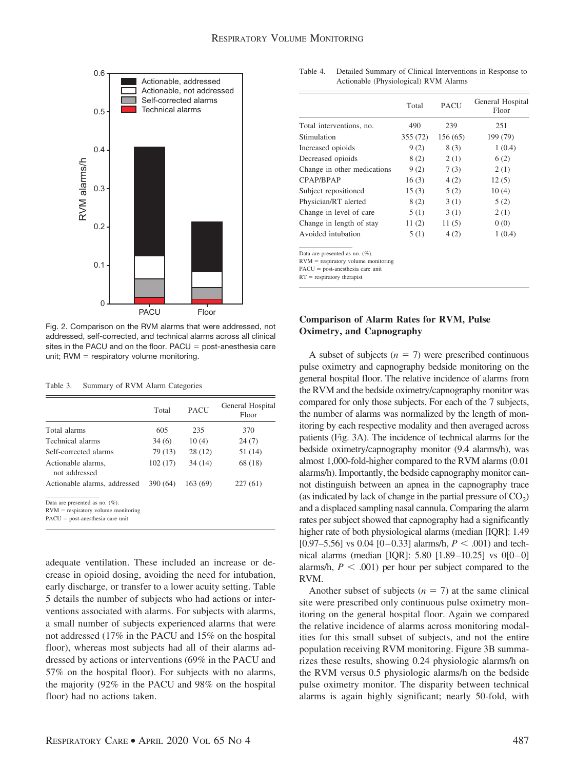

Fig. 2. Comparison on the RVM alarms that were addressed, not addressed, self-corrected, and technical alarms across all clinical sites in the PACU and on the floor.  $PACU = post-anesthesia care$ unit;  $RVM = respiratory volume monitoring.$ 

Table 3. Summary of RVM Alarm Categories

|                                                                                                                    | Total    | <b>PACU</b> | General Hospital<br>Floor |
|--------------------------------------------------------------------------------------------------------------------|----------|-------------|---------------------------|
| Total alarms                                                                                                       | 605      | 235         | 370                       |
| Technical alarms                                                                                                   | 34(6)    | 10(4)       | 24(7)                     |
| Self-corrected alarms                                                                                              | 79 (13)  | 28(12)      | 51 (14)                   |
| Actionable alarms.<br>not addressed                                                                                | 102(17)  | 34(14)      | 68 (18)                   |
| Actionable alarms, addressed                                                                                       | 390 (64) | 163(69)     | 227(61)                   |
| Data are presented as no. $(\% )$ .<br>$RVM = respiratory$ volume monitoring<br>$PACU = post-anesthesia care unit$ |          |             |                           |

adequate ventilation. These included an increase or decrease in opioid dosing, avoiding the need for intubation, early discharge, or transfer to a lower acuity setting. Table 5 details the number of subjects who had actions or interventions associated with alarms. For subjects with alarms, a small number of subjects experienced alarms that were not addressed (17% in the PACU and 15% on the hospital floor), whereas most subjects had all of their alarms addressed by actions or interventions (69% in the PACU and 57% on the hospital floor). For subjects with no alarms, the majority (92% in the PACU and 98% on the hospital floor) had no actions taken.

| Table 4. | Detailed Summary of Clinical Interventions in Response to |
|----------|-----------------------------------------------------------|
|          | Actionable (Physiological) RVM Alarms                     |

|                             | Total    | <b>PACU</b> | General Hospital<br>Floor |
|-----------------------------|----------|-------------|---------------------------|
| Total interventions, no.    | 490      | 239         | 251                       |
| Stimulation                 | 355 (72) | 156 (65)    | 199 (79)                  |
| Increased opioids           | 9(2)     | 8(3)        | 1(0.4)                    |
| Decreased opioids           | 8(2)     | 2(1)        | 6(2)                      |
| Change in other medications | 9(2)     | 7(3)        | 2(1)                      |
| CPAP/BPAP                   | 16(3)    | 4(2)        | 12(5)                     |
| Subject repositioned        | 15(3)    | 5(2)        | 10(4)                     |
| Physician/RT alerted        | 8(2)     | 3(1)        | 5(2)                      |
| Change in level of care     | 5(1)     | 3(1)        | 2(1)                      |
| Change in length of stay    | 11(2)    | 11(5)       | 0(0)                      |
| Avoided intubation          | 5(1)     | 4(2)        | 1(0.4)                    |

Data are presented as no. (%).

 $RVM =$  respiratory volume monitoring PACU = post-anesthesia care unit

 $RT =$  respiratory therapist

# **Comparison of Alarm Rates for RVM, Pulse Oximetry, and Capnography**

A subset of subjects  $(n = 7)$  were prescribed continuous pulse oximetry and capnography bedside monitoring on the general hospital floor. The relative incidence of alarms from the RVM and the bedside oximetry/capnography monitor was compared for only those subjects. For each of the 7 subjects, the number of alarms was normalized by the length of monitoring by each respective modality and then averaged across patients (Fig. 3A). The incidence of technical alarms for the bedside oximetry/capnography monitor (9.4 alarms/h), was almost 1,000-fold-higher compared to the RVM alarms (0.01 alarms/h). Importantly, the bedside capnography monitor cannot distinguish between an apnea in the capnography trace (as indicated by lack of change in the partial pressure of  $CO<sub>2</sub>$ ) and a displaced sampling nasal cannula. Comparing the alarm rates per subject showed that capnography had a significantly higher rate of both physiological alarms (median [IQR]: 1.49  $[0.97-5.56]$  vs 0.04  $[0-0.33]$  alarms/h,  $P < .001$ ) and technical alarms (median [IQR]: 5.80 [1.89–10.25] vs 0[0–0] alarms/h,  $P < .001$ ) per hour per subject compared to the RVM.

Another subset of subjects  $(n = 7)$  at the same clinical site were prescribed only continuous pulse oximetry monitoring on the general hospital floor. Again we compared the relative incidence of alarms across monitoring modalities for this small subset of subjects, and not the entire population receiving RVM monitoring. Figure 3B summarizes these results, showing 0.24 physiologic alarms/h on the RVM versus 0.5 physiologic alarms/h on the bedside pulse oximetry monitor. The disparity between technical alarms is again highly significant; nearly 50-fold, with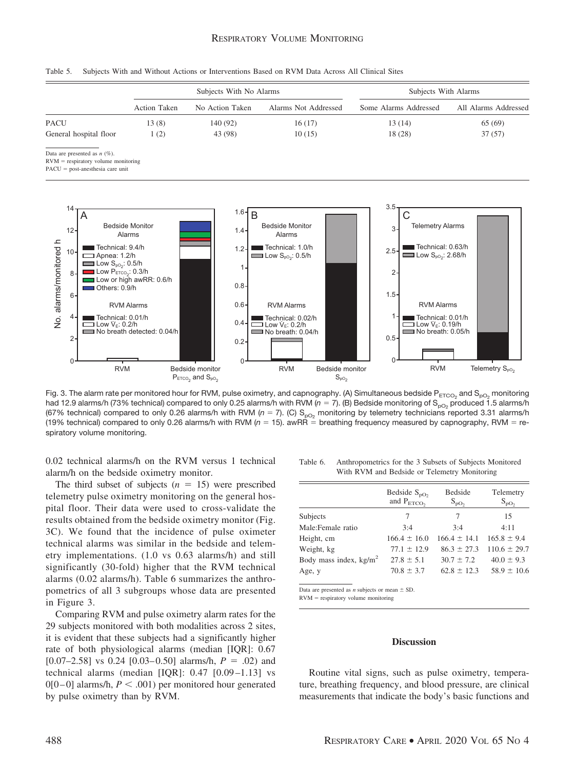| Subjects With and Without Actions or Interventions Based on RVM Data Across All Clinical Sites<br>Table 5. |  |
|------------------------------------------------------------------------------------------------------------|--|
|------------------------------------------------------------------------------------------------------------|--|

|                                                                                                               | Subjects With No Alarms |                 | Subjects With Alarms |                       |                      |
|---------------------------------------------------------------------------------------------------------------|-------------------------|-----------------|----------------------|-----------------------|----------------------|
|                                                                                                               | <b>Action Taken</b>     | No Action Taken | Alarms Not Addressed | Some Alarms Addressed | All Alarms Addressed |
| PACU                                                                                                          | 13(8)                   | 140 (92)        | 16(17)               | 13(14)                | 65(69)               |
| General hospital floor                                                                                        | 1(2)                    | 43 (98)         | 10(15)               | 18 (28)               | 37(57)               |
| Data are presented as $n$ (%).<br>$RVM = respiratory$ volume monitoring<br>$PACU = post-anesthesia care unit$ |                         |                 |                      |                       |                      |



Fig. 3. The alarm rate per monitored hour for RVM, pulse oximetry, and capnography. (A) Simultaneous bedside P $_{ETCO_2}$  and S<sub>pO2</sub> monitoring had 12.9 alarms/h (73% technical) compared to only 0.25 alarms/h with RVM ( $n = 7$ ). (B) Bedside monitoring of S<sub>pO2</sub> produced 1.5 alarms/h (67% technical) compared to only 0.26 alarms/h with RVM ( $n = 7$ ). (C) S<sub>pO<sub>2</sub> monitoring by telemetry technicians reported 3.31 alarms/h</sub> (19% technical) compared to only 0.26 alarms/h with RVM ( $n = 15$ ). awRR  $=$  breathing frequency measured by capnography, RVM = respiratory volume monitoring.

0.02 technical alarms/h on the RVM versus 1 technical alarm/h on the bedside oximetry monitor.

The third subset of subjects  $(n = 15)$  were prescribed telemetry pulse oximetry monitoring on the general hospital floor. Their data were used to cross-validate the results obtained from the bedside oximetry monitor (Fig. 3C). We found that the incidence of pulse oximeter technical alarms was similar in the bedside and telemetry implementations. (1.0 vs 0.63 alarms/h) and still significantly (30-fold) higher that the RVM technical alarms (0.02 alarms/h). Table 6 summarizes the anthropometrics of all 3 subgroups whose data are presented in Figure 3.

Comparing RVM and pulse oximetry alarm rates for the 29 subjects monitored with both modalities across 2 sites, it is evident that these subjects had a significantly higher rate of both physiological alarms (median [IQR]: 0.67  $[0.07-2.58]$  vs 0.24  $[0.03-0.50]$  alarms/h,  $P = .02$ ) and technical alarms (median [IQR]: 0.47 [0.09–1.13] vs  $0[0-0]$  alarms/h,  $P < .001$ ) per monitored hour generated by pulse oximetry than by RVM.

| Table 6. | Anthropometrics for the 3 Subsets of Subjects Monitored |
|----------|---------------------------------------------------------|
|          | With RVM and Bedside or Telemetry Monitoring            |

|                                  | Bedside $S_{\text{po}}$<br>and $P_{ETCO}$ | <b>Bedside</b><br>$S_{\text{pO}_2}$ | Telemetry<br>$S_{pO_2}$ |
|----------------------------------|-------------------------------------------|-------------------------------------|-------------------------|
| Subjects                         | 7                                         | 7                                   | 15                      |
| Male: Female ratio               | 3:4                                       | 3:4                                 | 4:11                    |
| Height, cm                       | $166.4 \pm 16.0$                          | $166.4 \pm 14.1$                    | $165.8 \pm 9.4$         |
| Weight, kg                       | $77.1 \pm 12.9$                           | $86.3 \pm 27.3$                     | $110.6 \pm 29.7$        |
| Body mass index, $\text{kg/m}^2$ | $27.8 \pm 5.1$                            | $30.7 \pm 7.2$                      | $40.0 \pm 9.3$          |
| Age, y                           | $70.8 \pm 3.7$                            | $62.8 \pm 12.3$                     | $58.9 \pm 10.6$         |

Data are presented as  $n$  subjects or mean  $\pm$  SD.

 $RVM =$  respiratory volume monitoring

### **Discussion**

Routine vital signs, such as pulse oximetry, temperature, breathing frequency, and blood pressure, are clinical measurements that indicate the body's basic functions and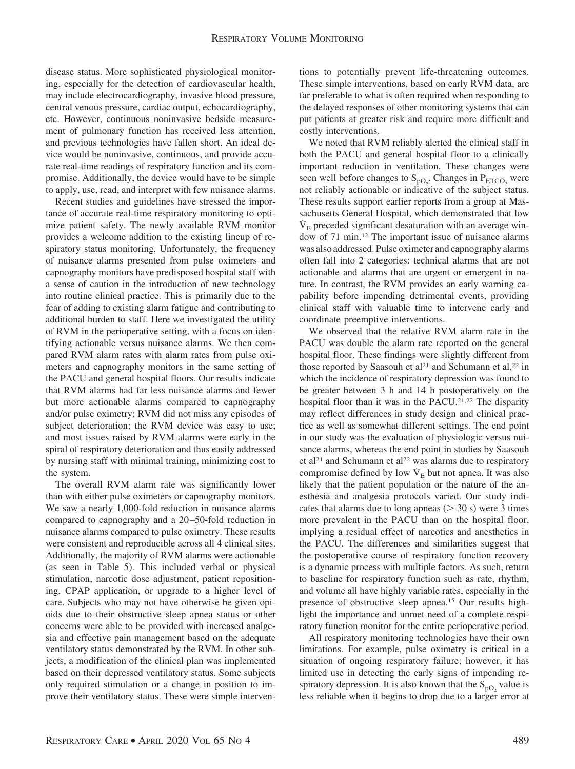disease status. More sophisticated physiological monitoring, especially for the detection of cardiovascular health, may include electrocardiography, invasive blood pressure, central venous pressure, cardiac output, echocardiography, etc. However, continuous noninvasive bedside measurement of pulmonary function has received less attention, and previous technologies have fallen short. An ideal device would be noninvasive, continuous, and provide accurate real-time readings of respiratory function and its compromise. Additionally, the device would have to be simple to apply, use, read, and interpret with few nuisance alarms.

Recent studies and guidelines have stressed the importance of accurate real-time respiratory monitoring to optimize patient safety. The newly available RVM monitor provides a welcome addition to the existing lineup of respiratory status monitoring. Unfortunately, the frequency of nuisance alarms presented from pulse oximeters and capnography monitors have predisposed hospital staff with a sense of caution in the introduction of new technology into routine clinical practice. This is primarily due to the fear of adding to existing alarm fatigue and contributing to additional burden to staff. Here we investigated the utility of RVM in the perioperative setting, with a focus on identifying actionable versus nuisance alarms. We then compared RVM alarm rates with alarm rates from pulse oximeters and capnography monitors in the same setting of the PACU and general hospital floors. Our results indicate that RVM alarms had far less nuisance alarms and fewer but more actionable alarms compared to capnography and/or pulse oximetry; RVM did not miss any episodes of subject deterioration; the RVM device was easy to use; and most issues raised by RVM alarms were early in the spiral of respiratory deterioration and thus easily addressed by nursing staff with minimal training, minimizing cost to the system.

The overall RVM alarm rate was significantly lower than with either pulse oximeters or capnography monitors. We saw a nearly 1,000-fold reduction in nuisance alarms compared to capnography and a 20–50-fold reduction in nuisance alarms compared to pulse oximetry. These results were consistent and reproducible across all 4 clinical sites. Additionally, the majority of RVM alarms were actionable (as seen in Table 5). This included verbal or physical stimulation, narcotic dose adjustment, patient repositioning, CPAP application, or upgrade to a higher level of care. Subjects who may not have otherwise be given opioids due to their obstructive sleep apnea status or other concerns were able to be provided with increased analgesia and effective pain management based on the adequate ventilatory status demonstrated by the RVM. In other subjects, a modification of the clinical plan was implemented based on their depressed ventilatory status. Some subjects only required stimulation or a change in position to improve their ventilatory status. These were simple interventions to potentially prevent life-threatening outcomes. These simple interventions, based on early RVM data, are far preferable to what is often required when responding to the delayed responses of other monitoring systems that can put patients at greater risk and require more difficult and costly interventions.

We noted that RVM reliably alerted the clinical staff in both the PACU and general hospital floor to a clinically important reduction in ventilation. These changes were seen well before changes to  $S_{pQ_2}$ . Changes in  $P_{ETCO_2}$  were not reliably actionable or indicative of the subject status. These results support earlier reports from a group at Massachusetts General Hospital, which demonstrated that low  $V<sub>E</sub>$  preceded significant desaturation with an average window of 71 min.12 The important issue of nuisance alarms was also addressed. Pulse oximeter and capnography alarms often fall into 2 categories: technical alarms that are not actionable and alarms that are urgent or emergent in nature. In contrast, the RVM provides an early warning capability before impending detrimental events, providing clinical staff with valuable time to intervene early and coordinate preemptive interventions.

We observed that the relative RVM alarm rate in the PACU was double the alarm rate reported on the general hospital floor. These findings were slightly different from those reported by Saasouh et  $al^{21}$  and Schumann et  $al^{22}$  in which the incidence of respiratory depression was found to be greater between 3 h and 14 h postoperatively on the hospital floor than it was in the PACU.21,22 The disparity may reflect differences in study design and clinical practice as well as somewhat different settings. The end point in our study was the evaluation of physiologic versus nuisance alarms, whereas the end point in studies by Saasouh et al<sup>21</sup> and Schumann et al<sup>22</sup> was alarms due to respiratory compromise defined by low  $\dot{V}_E$  but not apnea. It was also likely that the patient population or the nature of the anesthesia and analgesia protocols varied. Our study indicates that alarms due to long apneas ( $>$  30 s) were 3 times more prevalent in the PACU than on the hospital floor, implying a residual effect of narcotics and anesthetics in the PACU. The differences and similarities suggest that the postoperative course of respiratory function recovery is a dynamic process with multiple factors. As such, return to baseline for respiratory function such as rate, rhythm, and volume all have highly variable rates, especially in the presence of obstructive sleep apnea.15 Our results highlight the importance and unmet need of a complete respiratory function monitor for the entire perioperative period.

All respiratory monitoring technologies have their own limitations. For example, pulse oximetry is critical in a situation of ongoing respiratory failure; however, it has limited use in detecting the early signs of impending respiratory depression. It is also known that the  $S_{pQ}$  value is less reliable when it begins to drop due to a larger error at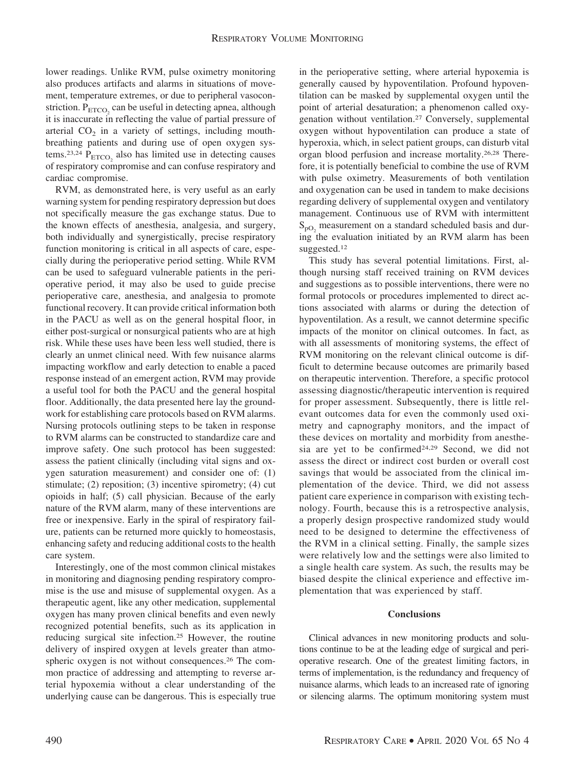lower readings. Unlike RVM, pulse oximetry monitoring also produces artifacts and alarms in situations of movement, temperature extremes, or due to peripheral vasoconstriction.  $P_{ETCO_2}$  can be useful in detecting apnea, although it is inaccurate in reflecting the value of partial pressure of arterial  $CO<sub>2</sub>$  in a variety of settings, including mouthbreathing patients and during use of open oxygen systems.<sup>23,24</sup>  $P_{ETCO_2}$  also has limited use in detecting causes of respiratory compromise and can confuse respiratory and cardiac compromise.

RVM, as demonstrated here, is very useful as an early warning system for pending respiratory depression but does not specifically measure the gas exchange status. Due to the known effects of anesthesia, analgesia, and surgery, both individually and synergistically, precise respiratory function monitoring is critical in all aspects of care, especially during the perioperative period setting. While RVM can be used to safeguard vulnerable patients in the perioperative period, it may also be used to guide precise perioperative care, anesthesia, and analgesia to promote functional recovery. It can provide critical information both in the PACU as well as on the general hospital floor, in either post-surgical or nonsurgical patients who are at high risk. While these uses have been less well studied, there is clearly an unmet clinical need. With few nuisance alarms impacting workflow and early detection to enable a paced response instead of an emergent action, RVM may provide a useful tool for both the PACU and the general hospital floor. Additionally, the data presented here lay the groundwork for establishing care protocols based on RVM alarms. Nursing protocols outlining steps to be taken in response to RVM alarms can be constructed to standardize care and improve safety. One such protocol has been suggested: assess the patient clinically (including vital signs and oxygen saturation measurement) and consider one of: (1) stimulate; (2) reposition; (3) incentive spirometry; (4) cut opioids in half; (5) call physician. Because of the early nature of the RVM alarm, many of these interventions are free or inexpensive. Early in the spiral of respiratory failure, patients can be returned more quickly to homeostasis, enhancing safety and reducing additional costs to the health care system.

Interestingly, one of the most common clinical mistakes in monitoring and diagnosing pending respiratory compromise is the use and misuse of supplemental oxygen. As a therapeutic agent, like any other medication, supplemental oxygen has many proven clinical benefits and even newly recognized potential benefits, such as its application in reducing surgical site infection.25 However, the routine delivery of inspired oxygen at levels greater than atmospheric oxygen is not without consequences.26 The common practice of addressing and attempting to reverse arterial hypoxemia without a clear understanding of the underlying cause can be dangerous. This is especially true in the perioperative setting, where arterial hypoxemia is generally caused by hypoventilation. Profound hypoventilation can be masked by supplemental oxygen until the point of arterial desaturation; a phenomenon called oxygenation without ventilation.27 Conversely, supplemental oxygen without hypoventilation can produce a state of hyperoxia, which, in select patient groups, can disturb vital organ blood perfusion and increase mortality.26,28 Therefore, it is potentially beneficial to combine the use of RVM with pulse oximetry. Measurements of both ventilation and oxygenation can be used in tandem to make decisions regarding delivery of supplemental oxygen and ventilatory management. Continuous use of RVM with intermittent  $S_{\text{pO}_2}$  measurement on a standard scheduled basis and during the evaluation initiated by an RVM alarm has been suggested.12

This study has several potential limitations. First, although nursing staff received training on RVM devices and suggestions as to possible interventions, there were no formal protocols or procedures implemented to direct actions associated with alarms or during the detection of hypoventilation. As a result, we cannot determine specific impacts of the monitor on clinical outcomes. In fact, as with all assessments of monitoring systems, the effect of RVM monitoring on the relevant clinical outcome is difficult to determine because outcomes are primarily based on therapeutic intervention. Therefore, a specific protocol assessing diagnostic/therapeutic intervention is required for proper assessment. Subsequently, there is little relevant outcomes data for even the commonly used oximetry and capnography monitors, and the impact of these devices on mortality and morbidity from anesthesia are yet to be confirmed<sup>24,29</sup> Second, we did not assess the direct or indirect cost burden or overall cost savings that would be associated from the clinical implementation of the device. Third, we did not assess patient care experience in comparison with existing technology. Fourth, because this is a retrospective analysis, a properly design prospective randomized study would need to be designed to determine the effectiveness of the RVM in a clinical setting. Finally, the sample sizes were relatively low and the settings were also limited to a single health care system. As such, the results may be biased despite the clinical experience and effective implementation that was experienced by staff.

## **Conclusions**

Clinical advances in new monitoring products and solutions continue to be at the leading edge of surgical and perioperative research. One of the greatest limiting factors, in terms of implementation, is the redundancy and frequency of nuisance alarms, which leads to an increased rate of ignoring or silencing alarms. The optimum monitoring system must